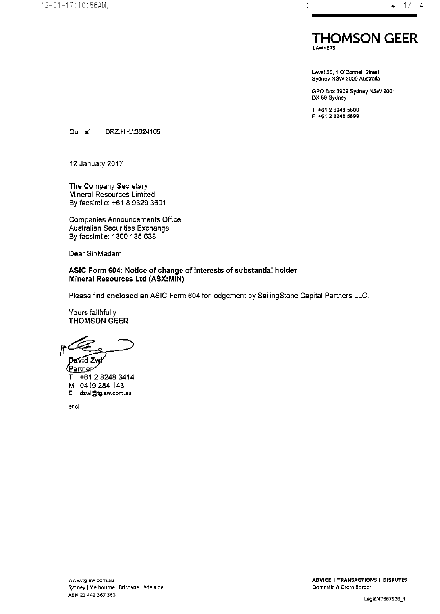

Level 25, 1 O'Connell Street Sydney NSW 2000 Australia

GPO Box 3909 Sydney NSW 2001 DX 69 Sydney

T +61 2 8248 5800<br>F +61 2 8248 5899

Our ref DRZ:HHJ:3624165

12 January 2017

The Company Secretary Mineral Resources Limited By facsimile: +61 8 9329 3601

Companies Announcements Office Australian Securities Exchange By facsimile: 1300 135 638

Dear Sir/Madam

ASIC Form 604: Notice of change of interests of substantial holder Mineral Resources Ltd (ASX:MIN)

Please find enclosed an ASIC Form 604 for lodgement by SailingStone Capital Partners LLC.

Yours faithfully **THOMSON GEER** 

David Zwl

(Partner-+61 2 8248 3414 M 0419 284 143 dzwi@tglaw.com.au E.

encl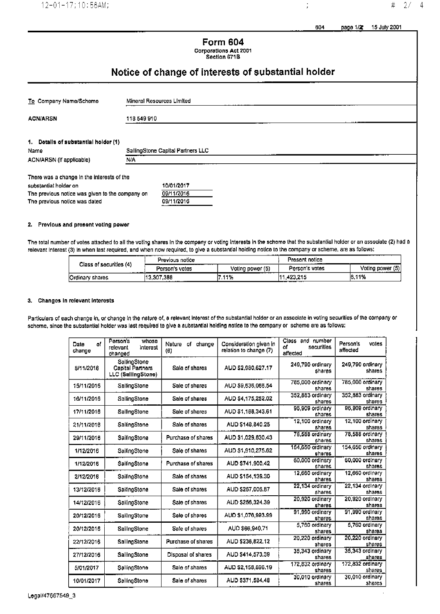$2/$  $\#$ 

 $\overline{4}$ 

 $\frac{1}{2}$ 

## **Form 604 Corporations Act 2001**

## Section 671B

# Notice of change of interests of substantial holder

| To Company Name/Scheme                          |             | Mineral Resources Limited         |  |  |  |
|-------------------------------------------------|-------------|-----------------------------------|--|--|--|
| <b>ACN/ARSN</b>                                 | 118 549 910 |                                   |  |  |  |
| 1. Details of substantial holder (1)            |             |                                   |  |  |  |
| Name                                            |             | SallingStone Capital Partners LLC |  |  |  |
| ACN/ARSN (if applicable)                        | N/A         |                                   |  |  |  |
| There was a change in the interests of the      |             |                                   |  |  |  |
| substantial holder on                           |             | 10/01/2017                        |  |  |  |
| The previous notice was given to the company on |             | 09/11/2016                        |  |  |  |

#### 2. Previous and present voting power

The provious notice was dated

The total number of votes attached to all the voting shares in the company or voting interests in the scheme that the substantial holder or an associate (2) had a relevant interest (3) in when last required, and when now required, to give a substantial holding notico to the company or scheme, are as follows:

09/11/2016

|                         | _________<br>Previous notice |                  | -----------<br>Present notice |                       |
|-------------------------|------------------------------|------------------|-------------------------------|-----------------------|
| Class of securities (4) | . .<br>Person's votes        | Voting power (5) | Person's votes                | Voting power (5)<br>. |
| Ordinary shares         | 13,307,388<br>.              | ------<br>11%    | 1.423.215                     | 6.11%                 |

#### 3. Changes in relevant interests

Particulars of each change in, or change in the nature of, a relevant Interest of the substantial holder or an associate in voting securities of the company or scheme, since the substantial holder was last required to give a substantial holding notice to the company or scheme are as follows:

| οf<br>Date<br>change | whose<br>Porson's<br>relevant<br>interest<br>changed          | change<br>Nature<br>σf<br>(6) | Consideration given in<br>relation to change (7) | Class and number<br>securities<br>of<br>affected | Person's<br>votes<br>affected |
|----------------------|---------------------------------------------------------------|-------------------------------|--------------------------------------------------|--------------------------------------------------|-------------------------------|
| 8/11/2016            | SallingStone<br><b>Capital Partners</b><br>LLC (SallingStone) | Sale of shares                | AUD \$2,980,627.17                               | 249,790 ordinary<br>shares                       | 249,790 ordinary<br>shares    |
| 15/11/2016           | SallingStone                                                  | Sale of shares                | AUD \$9,636,066.54                               | 785,000 ordinary<br>shares                       | 785,000 ordinary<br>shares    |
| 16/11/2016           | SallingStone                                                  | Sale of shares                | AUD \$4,175,252.02                               | 352.883 ordinary<br>shares                       | 352,883 ordinary<br>shares    |
| 17/11/2016           | SallingStone                                                  | Sale of shares                | AUD \$1,188,343.61                               | 96,909 ordinary<br>shares                        | 96,909 ordinary<br>shares     |
| 21/11/2016           | SallingStone                                                  | Sale of shares                | AUD \$148,840.25                                 | 12,100 ordinary<br>shares                        | 12,100 ordinary<br>shares     |
| 29/11/2016           | SailingStone                                                  | Purchase of shares            | AUD \$1,029,830.43                               | 78.588 ordinary<br>shares                        | 78,588 ordinary<br>sharos     |
| 1/12/2016            | SailingStone                                                  | Sale of shares                | AUD \$1,910,275.62                               | 154,650 ordinary<br>shares                       | 154.650 ordinary<br>shares    |
| 1/12/2016            | SailingStone                                                  | Purchase of shares            | AUD \$741,900.42                                 | 60,000 ordinary<br>shares                        | 60.000 ordinary<br>shares     |
| 2/12/2016            | SailingStone                                                  | Salo of shares                | AUD \$154,139.30                                 | 12,660 ordinary<br>shares                        | 12,660 ordinary<br>shares     |
| 13/12/2016           | SailingStone                                                  | Sale of shares                | AUD \$267,006.87                                 | 22,134 ordinary<br>shares                        | 22.134 ordinary<br>shares     |
| 14/12/2016           | SailingStone                                                  | Sale of shares                | AUD \$256,324.39                                 | 20,920 ordinary<br>chares                        | 20.920 ordinary<br>shares     |
| 20/12/2016           | SailingStone                                                  | Sale of shares                | AUD \$1,076,993.99                               | 91,990 ordinary<br>shares                        | 91.990 ordinary<br>shares     |
| 20/12/2016           | SallingStone                                                  | Sale of shares                | AUD \$66,940,71                                  | 5,760 ordinary<br>shares                         | 5,760 ordinary<br>shares      |
| 22/12/2016           | SallingStone                                                  | Purchase of shares            | AUD \$236,822.12                                 | 20,220 ordinary<br>shares                        | 20,220 ordinary<br>shares     |
| 27/12/2016           | SallingStone                                                  | Disposal of shares            | AUD \$414,573.39                                 | 35,343 ordinary<br>shares                        | 35,343 ordinary<br>shares     |
| 5/01/2017            | SallingStone                                                  | Sale of shares                | AUD \$2,158,896.19                               | 172,832 ordinary<br>shares                       | 172,832 ordinary<br>shares    |
| 10/01/2017           | SallingStone                                                  | Sale of shares                | AUD \$371,584.48                                 | 30,010 ordinary<br>shares                        | 30,010 ordinary<br>shares     |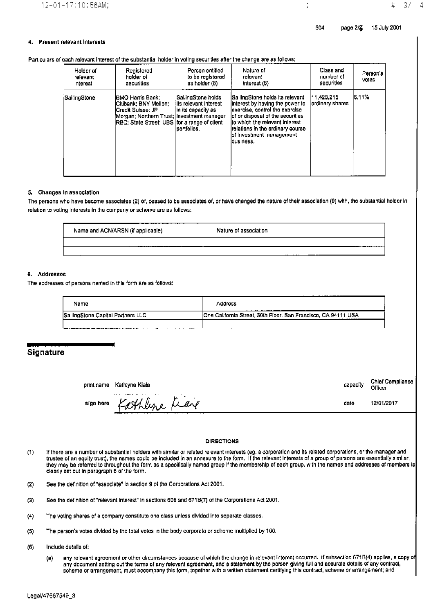$3/$ 

 $\overline{4}$ 

#

#### 4. **Present relevant interests**

#### Particulars of each relevant interest of the substantial holder in voting securities after the change are as follows:

| Holder of<br>relevant<br>Interest | Registered<br>holder of<br>securities                                                                                                                              | Person entitled<br>to be registered<br>as holder (8)                              | Nature of<br>relevant<br>interest (6)                                                                                                                                                                                                                       | Class and<br>number of<br>securities | Person's<br>votes |
|-----------------------------------|--------------------------------------------------------------------------------------------------------------------------------------------------------------------|-----------------------------------------------------------------------------------|-------------------------------------------------------------------------------------------------------------------------------------------------------------------------------------------------------------------------------------------------------------|--------------------------------------|-------------------|
| SailingStone                      | IBMO Harris Bank;<br>lCitibank: BNY Mellon: .<br>lCredit Suisse: JP_<br>Morgan; Northern Trust; Investment manager<br>RBC; State Street; UBS for a range of client | SallingStone holds<br>ilts relevant Interest<br>in its capacity as<br>portfollos. | lSallingStone holds its relevant<br>linterest by having the power to<br>exercise, control the exercise<br>lof or disposal of the securities<br>ito which the relevant interest<br>relations in the ordinary course<br>of investment management<br>business. | 11.423.215<br>lordinary shares       | 6.11%             |

#### 5. Changes in association

The persons who have become associates (2) of, ceased to be associates of, or have changed the nature of their association (9) with, the substantial holder in relation to voting interests in the company or scheme are as follows:

| --- - -- ---------------<br>-----<br>Name and ACN/ARSN (if applicable) | Nature of association<br>---<br>------<br>------ |
|------------------------------------------------------------------------|--------------------------------------------------|
|                                                                        |                                                  |
|                                                                        | .<br>----                                        |

#### 6. Addresses

The addresses of persons named in this form are as follows:

| Name                              | Address                                                                   |
|-----------------------------------|---------------------------------------------------------------------------|
| SailingStone Capital Partners LLC | One California Street, 30th Floor, San Francisco, CA 94111 USA<br>_______ |
|                                   |                                                                           |

### **Signature**

print name Kathlyne Kiale

capacity

date

Chief Compliance Officer

12/01/2017

sign here

Kathline Fiare

#### **DIRECTIONS**

- If there are a number of substantial holders with similar or related relevant interests (eg. a corporation and its related corporations, or the manager and<br>trustee of an equity trust), the names could be included in an ann  $(1)$ they may be referred to throughout the form as a specifically named group if the membership of each group, with the names and addresses of members is clearly set out in paragraph 6 of the form.
- See the definition of "associate" In section 9 of the Corporations Act 2001.  $(2)$
- See the definition of "relevant interest" in sections 608 and 671B(7) of the Corporations Act 2001.  $(3)$
- The voting shares of a company constitute one class unless divided into separate classes.  $(4)$
- The person's votes divided by the total votes in the body corporate or scheme multiplied by 100.  $(5)$
- $(6)$ Include details of:
	- any relevant agreement or other circumstances because of which the change in relevant interest occurred. If subsection 671B(4) applies, a copy of (a) any document setting out the terms of any relevant agreement, and a statement by the person giving full and accurate details of any contract, scheme or arrangement, must accompany this form, together with a written stateme